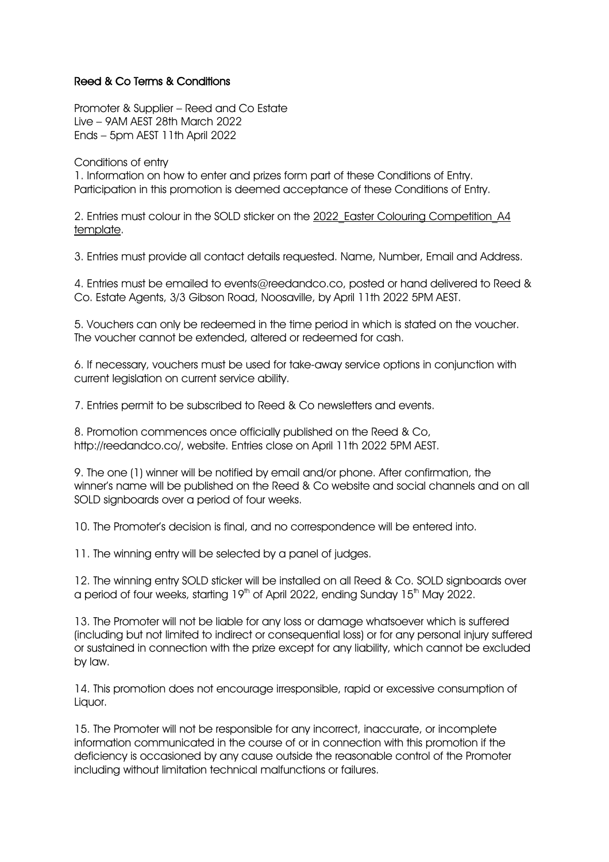## Reed & Co Terms & Conditions

Promoter & Supplier – Reed and Co Estate Live – 9AM AEST 28th March 2022 Ends – 5pm AEST 11th April 2022

Conditions of entry

1. Information on how to enter and prizes form part of these Conditions of Entry. Participation in this promotion is deemed acceptance of these Conditions of Entry.

2. Entries must colour in the SOLD sticker on the 2022 Easter Colouring Competition A4 template.

3. Entries must provide all contact details requested. Name, Number, Email and Address.

4. Entries must be emailed to events@reedandco.co, posted or hand delivered to Reed & Co. Estate Agents, 3/3 Gibson Road, Noosaville, by April 11th 2022 5PM AEST.

5. Vouchers can only be redeemed in the time period in which is stated on the voucher. The voucher cannot be extended, altered or redeemed for cash.

6. If necessary, vouchers must be used for take-away service options in conjunction with current legislation on current service ability.

7. Entries permit to be subscribed to Reed & Co newsletters and events.

8. Promotion commences once officially published on the Reed & Co, http://reedandco.co/, website. Entries close on April 11th 2022 5PM AEST.

9. The one (1) winner will be notified by email and/or phone. After confirmation, the winner's name will be published on the Reed & Co website and social channels and on all SOLD signboards over a period of four weeks.

10. The Promoter's decision is final, and no correspondence will be entered into.

11. The winning entry will be selected by a panel of judges.

12. The winning entry SOLD sticker will be installed on all Reed & Co. SOLD signboards over a period of four weeks, starting  $19<sup>th</sup>$  of April 2022, ending Sunday  $15<sup>th</sup>$  May 2022.

13. The Promoter will not be liable for any loss or damage whatsoever which is suffered (including but not limited to indirect or consequential loss) or for any personal injury suffered or sustained in connection with the prize except for any liability, which cannot be excluded by law.

14. This promotion does not encourage irresponsible, rapid or excessive consumption of Liquor.

15. The Promoter will not be responsible for any incorrect, inaccurate, or incomplete information communicated in the course of or in connection with this promotion if the deficiency is occasioned by any cause outside the reasonable control of the Promoter including without limitation technical malfunctions or failures.